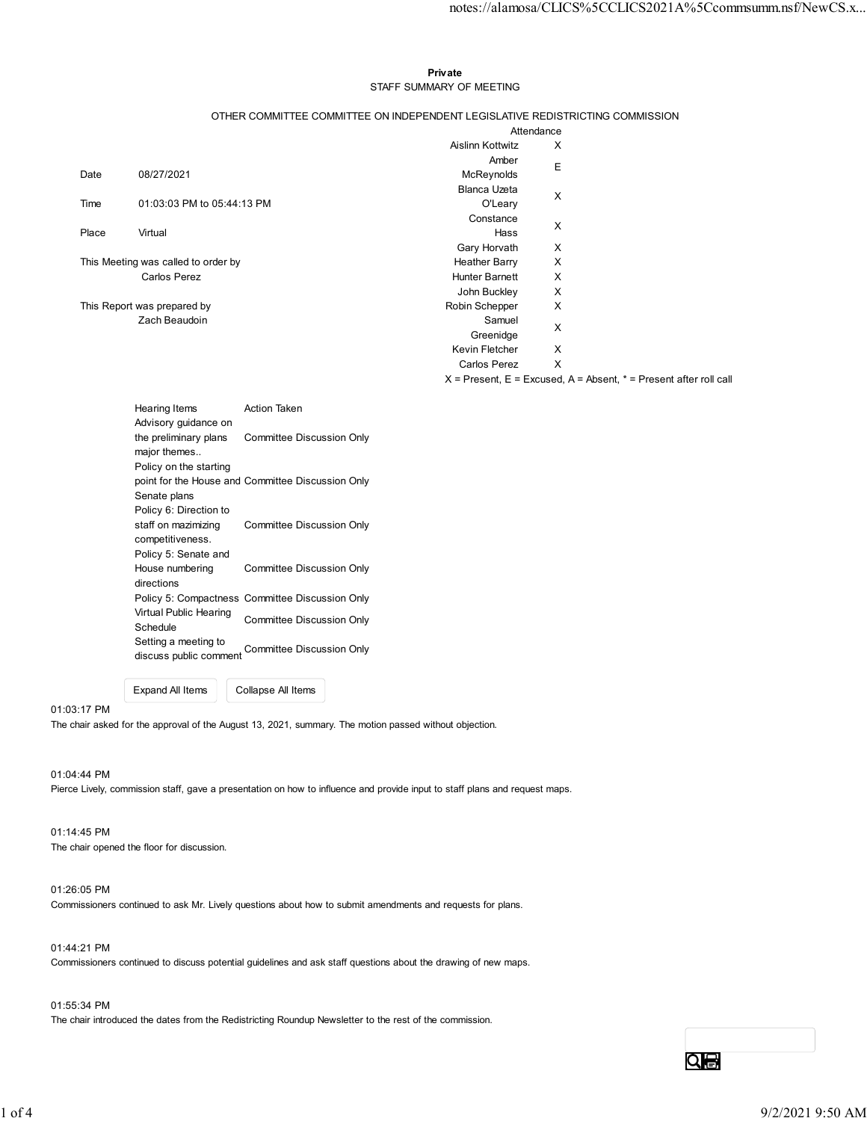#### Private **Exercise Service Service Service Service Service Service Service Service Service Service Service Service Service Service Service Service Service Service Service Service Service Service Service Service Service Serv** STAFF SUMMARY OF MEETING

|       |                                               |                                                                               |                                      | notes://alamosa/CLICS%5CCLICS2021A%5Ccommsumm.nsf/NewCS.x                  |  |
|-------|-----------------------------------------------|-------------------------------------------------------------------------------|--------------------------------------|----------------------------------------------------------------------------|--|
|       |                                               |                                                                               |                                      |                                                                            |  |
|       |                                               |                                                                               |                                      |                                                                            |  |
|       |                                               |                                                                               | Private                              |                                                                            |  |
|       |                                               |                                                                               | STAFF SUMMARY OF MEETING             |                                                                            |  |
|       |                                               | OTHER COMMITTEE COMMITTEE ON INDEPENDENT LEGISLATIVE REDISTRICTING COMMISSION | Attendance                           |                                                                            |  |
|       |                                               |                                                                               | Aislinn Kottwitz                     | X                                                                          |  |
| Date  | 08/27/2021                                    |                                                                               | Amber<br>McReynolds                  | Е                                                                          |  |
|       |                                               |                                                                               | Blanca Uzeta                         | X                                                                          |  |
| Time  | 01:03:03 PM to 05:44:13 PM                    |                                                                               | O'Leary<br>Constance                 |                                                                            |  |
| Place | Virtual                                       |                                                                               | Hass                                 | X                                                                          |  |
|       | This Meeting was called to order by           |                                                                               | Gary Horvath<br><b>Heather Barry</b> | X<br>X                                                                     |  |
|       | Carlos Perez                                  |                                                                               | Hunter Barnett                       | X                                                                          |  |
|       | This Report was prepared by                   |                                                                               | John Buckley<br>Robin Schepper       | X<br>X                                                                     |  |
|       | Zach Beaudoin                                 |                                                                               | Samuel<br>Greenidge                  | X                                                                          |  |
|       |                                               |                                                                               | Kevin Fletcher                       | X                                                                          |  |
|       |                                               |                                                                               | Carlos Perez                         | X<br>$X$ = Present, E = Excused, A = Absent, $*$ = Present after roll call |  |
|       |                                               |                                                                               |                                      |                                                                            |  |
|       | Hearing Items<br>Advisory guidance on         | Action Taken                                                                  |                                      |                                                                            |  |
|       | the preliminary plans<br>major themes         | Committee Discussion Only                                                     |                                      |                                                                            |  |
|       | Policy on the starting                        | point for the House and Committee Discussion Only                             |                                      |                                                                            |  |
|       | Senate plans                                  |                                                                               |                                      |                                                                            |  |
|       | Policy 6: Direction to<br>staff on mazimizing | Committee Discussion Only                                                     |                                      |                                                                            |  |
|       | competitiveness.<br>Policy 5: Senate and      |                                                                               |                                      |                                                                            |  |
|       | House numbering                               | Committee Discussion Only                                                     |                                      |                                                                            |  |
|       | directions                                    | Policy 5: Compactness Committee Discussion Only                               |                                      |                                                                            |  |
|       | Virtual Public Hearing                        | <b>Committee Discussion Only</b>                                              |                                      |                                                                            |  |
|       | Schedule<br>Setting a meeting to              |                                                                               |                                      |                                                                            |  |
|       | discuss public comment                        | <b>Committee Discussion Only</b>                                              |                                      |                                                                            |  |
|       |                                               |                                                                               |                                      |                                                                            |  |

| Hearing Items<br>Advisory quidance on                           | <b>Action Taken</b>                               |
|-----------------------------------------------------------------|---------------------------------------------------|
| the preliminary plans<br>major themes<br>Policy on the starting | Committee Discussion Only                         |
|                                                                 | point for the House and Committee Discussion Only |
| Senate plans                                                    |                                                   |
| Policy 6: Direction to                                          |                                                   |
| staff on mazimizing<br>competitiveness.                         | Committee Discussion Only                         |
| Policy 5: Senate and                                            |                                                   |
| House numbering<br>directions                                   | Committee Discussion Only                         |
|                                                                 | Policy 5: Compactness Committee Discussion Only   |
| Virtual Public Hearing<br>Schedule                              | Committee Discussion Only                         |
| Setting a meeting to<br>discuss public comment                  | Committee Discussion Only                         |

Expand All Items Collapse All Items

#### 01:03:17 PM

The chair asked for the approval of the August 13, 2021, summary. The motion passed without objection.

#### 01:04:44 PM

Pierce Lively, commission staff, gave a presentation on how to influence and provide input to staff plans and request maps.

#### 01:14:45 PM The chair opened the floor for discussion.

#### 01:26:05 PM

Commissioners continued to ask Mr. Lively questions about how to submit amendments and requests for plans.

#### 01:44:21 PM

Commissioners continued to discuss potential guidelines and ask staff questions about the drawing of new maps.

### 01:55:34 PM

The chair introduced the dates from the Redistricting Roundup Newsletter to the rest of the commission.

Qe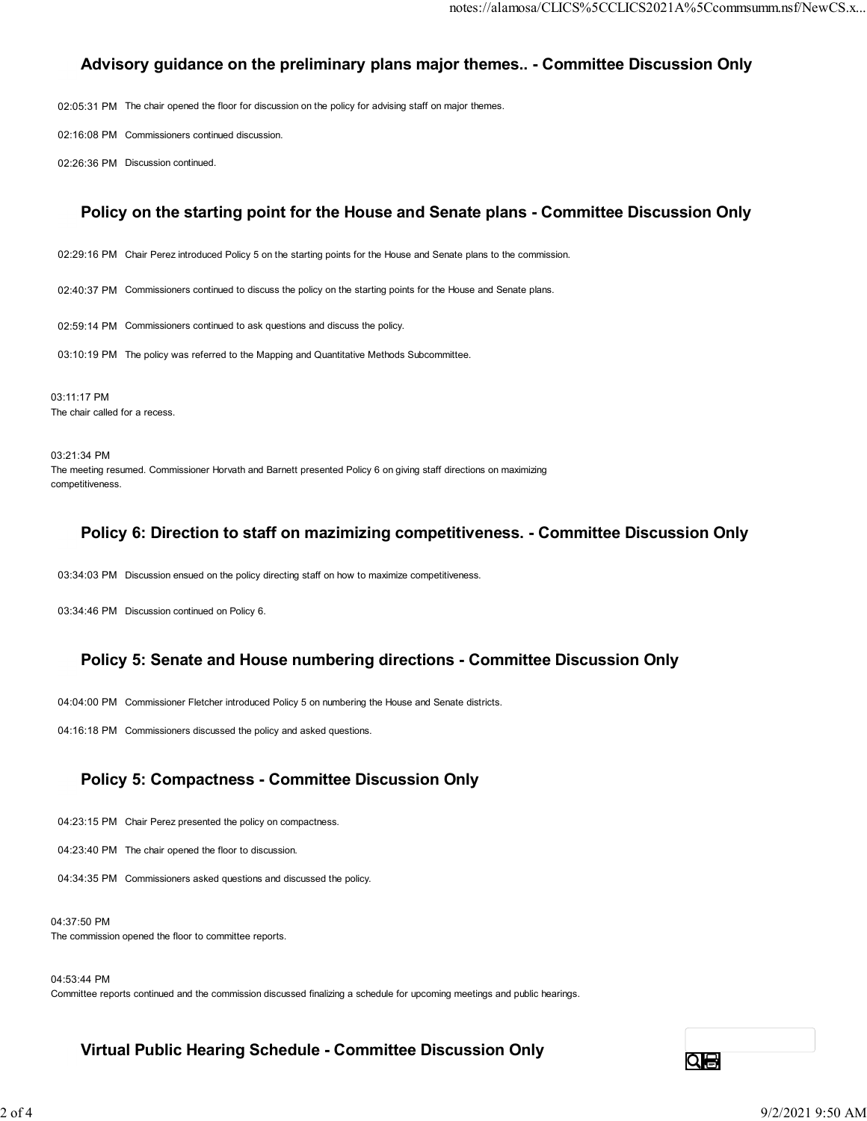## Advisory guidance on the preliminary plans major themes.. - Committee Discussion Only

02:05:31 PM The chair opened the floor for discussion on the policy for advising staff on major themes.

02:16:08 PM Commissioners continued discussion.

02:26:36 PM Discussion continued.

### Policy on the starting point for the House and Senate plans - Committee Discussion Only

02:29:16 PM Chair Perez introduced Policy 5 on the starting points for the House and Senate plans to the commission.

02:40:37 PM Commissioners continued to discuss the policy on the starting points for the House and Senate plans.

02:59:14 PM Commissioners continued to ask questions and discuss the policy.

03:10:19 PM The policy was referred to the Mapping and Quantitative Methods Subcommittee.

03:11:17 PM The chair called for a recess.

03:21:34 PM The meeting resumed. Commissioner Horvath and Barnett presented Policy 6 on giving staff directions on maximizing competitiveness.

### Policy 6: Direction to staff on mazimizing competitiveness. - Committee Discussion Only

03:34:03 PM Discussion ensued on the policy directing staff on how to maximize competitiveness.

03:34:46 PM Discussion continued on Policy 6.

### Policy 5: Senate and House numbering directions - Committee Discussion Only

04:04:00 PM Commissioner Fletcher introduced Policy 5 on numbering the House and Senate districts.

04:16:18 PM Commissioners discussed the policy and asked questions.

### Policy 5: Compactness - Committee Discussion Only

04:23:15 PM Chair Perez presented the policy on compactness.

04:23:40 PM The chair opened the floor to discussion.

04:34:35 PM Commissioners asked questions and discussed the policy.

04:37:50 PM The commission opened the floor to committee reports.

04:53:44 PM

Committee reports continued and the commission discussed finalizing a schedule for upcoming meetings and public hearings.

Virtual Public Hearing Schedule - Committee Discussion Only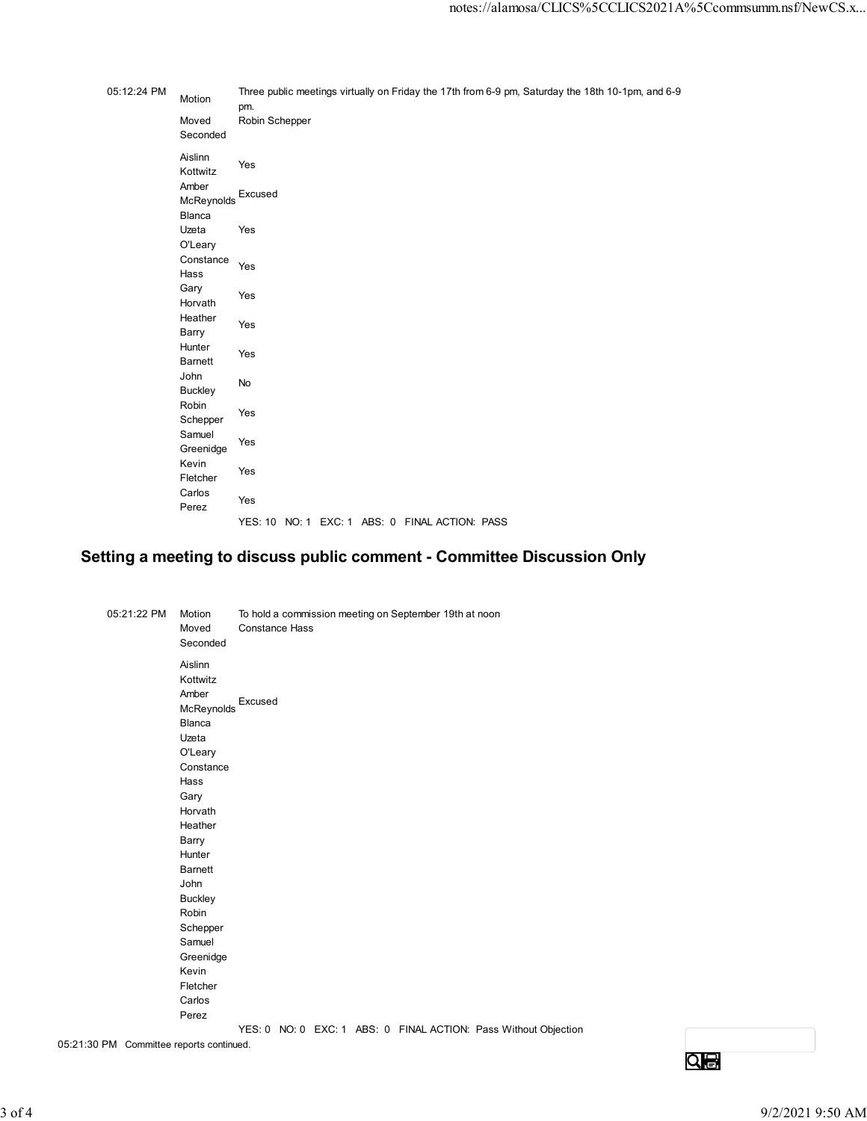|             |                                       | notes://alamosa/CLICS%5CCLICS2021A%5Ccommsumm.nsf/NewCS.x                                                |
|-------------|---------------------------------------|----------------------------------------------------------------------------------------------------------|
|             |                                       |                                                                                                          |
|             |                                       |                                                                                                          |
| 05:12:24 PM | Motion                                | Three public meetings virtually on Friday the 17th from 6-9 pm, Saturday the 18th 10-1pm, and 6-9<br>pm. |
|             | Moved<br>Seconded                     | Robin Schepper                                                                                           |
|             | Aislinn<br>Kottwitz                   | Yes                                                                                                      |
|             | Amber<br>McReynolds Excused<br>Blanca |                                                                                                          |
|             | Uzeta<br>O'Leary                      | Yes                                                                                                      |
|             | Constance<br>Hass                     | Yes                                                                                                      |
|             | Gary<br>Horvath<br>Heather            | Yes                                                                                                      |
|             | Barry<br>Hunter                       | Yes<br>Yes                                                                                               |
|             | Barnett<br>John<br><b>Buckley</b>     | $\mathsf{No}$                                                                                            |
|             | Robin<br>Schepper                     | Yes                                                                                                      |
|             | Samuel<br>Greenidge<br>Kevin          | Yes                                                                                                      |
|             | Fletcher<br>Carlos                    | Yes                                                                                                      |
|             | Perez                                 | Yes<br>YES: 10 NO: 1 EXC: 1 ABS: 0 FINAL ACTION: PASS                                                    |
|             |                                       | tting a meeting to discuss public comment - Committee Discussion Only                                    |
|             |                                       |                                                                                                          |
| 05:21:22 PM | Motion<br>Moved<br>Seconded           | To hold a commission meeting on September 19th at noon<br><b>Constance Hass</b>                          |
|             | Aislinn<br>Kottwitz                   |                                                                                                          |
|             | Amber<br>McReynolds Excused           |                                                                                                          |

# Setting a meeting to discuss public comment - Committee Discussion Only

| 05:21:22 PM                      | Motion         | To hold a commission meeting on September 19th at noon          |
|----------------------------------|----------------|-----------------------------------------------------------------|
|                                  | Moved          | <b>Constance Hass</b>                                           |
|                                  | Seconded       |                                                                 |
|                                  | Aislinn        |                                                                 |
|                                  | Kottwitz       |                                                                 |
|                                  | Amber          |                                                                 |
|                                  | McReynolds     | Excused                                                         |
|                                  | Blanca         |                                                                 |
|                                  | Uzeta          |                                                                 |
|                                  | O'Leary        |                                                                 |
|                                  | Constance      |                                                                 |
|                                  | Hass           |                                                                 |
|                                  | Gary           |                                                                 |
|                                  | Horvath        |                                                                 |
|                                  | Heather        |                                                                 |
|                                  | Barry          |                                                                 |
|                                  | Hunter         |                                                                 |
|                                  | <b>Barnett</b> |                                                                 |
|                                  | John           |                                                                 |
|                                  | <b>Buckley</b> |                                                                 |
|                                  | Robin          |                                                                 |
|                                  | Schepper       |                                                                 |
|                                  | Samuel         |                                                                 |
|                                  | Greenidge      |                                                                 |
|                                  | Kevin          |                                                                 |
|                                  | Fletcher       |                                                                 |
|                                  | Carlos         |                                                                 |
|                                  | Perez          |                                                                 |
| $DM$ Committee reports continued |                | YES: 0 NO: 0 EXC: 1 ABS: 0 FINAL ACTION: Pass Without Objection |

05:21:30 PM Committee reports continued.

 $Q<sub>0</sub>$